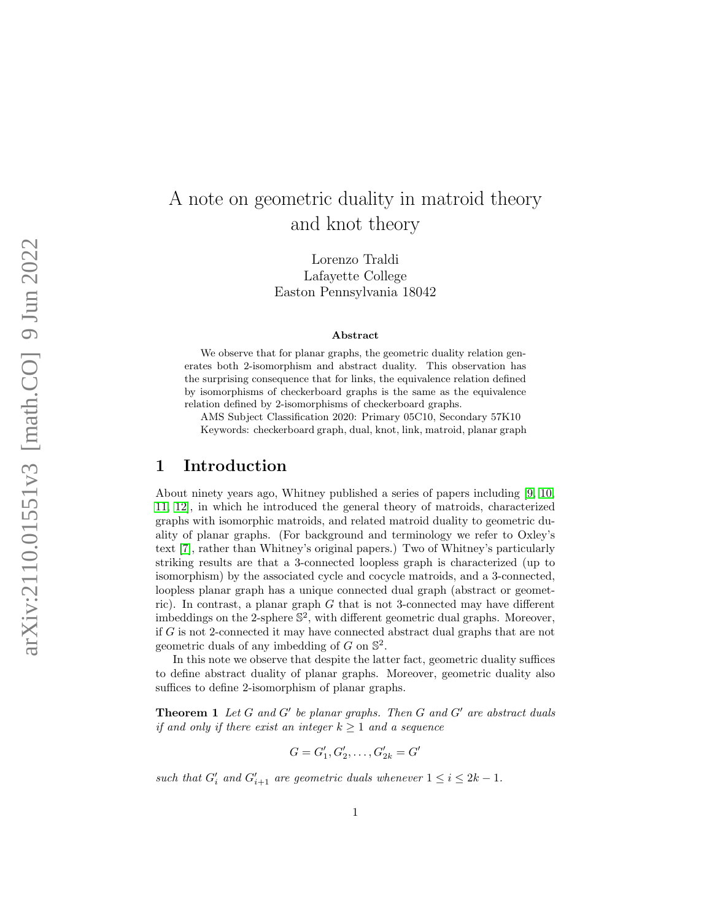# A note on geometric duality in matroid theory and knot theory

Lorenzo Traldi Lafayette College Easton Pennsylvania 18042

#### Abstract

We observe that for planar graphs, the geometric duality relation generates both 2-isomorphism and abstract duality. This observation has the surprising consequence that for links, the equivalence relation defined by isomorphisms of checkerboard graphs is the same as the equivalence relation defined by 2-isomorphisms of checkerboard graphs.

AMS Subject Classification 2020: Primary 05C10, Secondary 57K10 Keywords: checkerboard graph, dual, knot, link, matroid, planar graph

# 1 Introduction

About ninety years ago, Whitney published a series of papers including [\[9,](#page-9-0) [10,](#page-10-0) [11,](#page-10-1) [12\]](#page-10-2), in which he introduced the general theory of matroids, characterized graphs with isomorphic matroids, and related matroid duality to geometric duality of planar graphs. (For background and terminology we refer to Oxley's text [\[7\]](#page-9-1), rather than Whitney's original papers.) Two of Whitney's particularly striking results are that a 3-connected loopless graph is characterized (up to isomorphism) by the associated cycle and cocycle matroids, and a 3-connected, loopless planar graph has a unique connected dual graph (abstract or geometric). In contrast, a planar graph G that is not 3-connected may have different imbeddings on the 2-sphere  $\mathbb{S}^2$ , with different geometric dual graphs. Moreover, if G is not 2-connected it may have connected abstract dual graphs that are not geometric duals of any imbedding of  $G$  on  $\mathbb{S}^2$ .

In this note we observe that despite the latter fact, geometric duality suffices to define abstract duality of planar graphs. Moreover, geometric duality also suffices to define 2-isomorphism of planar graphs.

<span id="page-0-0"></span>**Theorem 1** Let  $G$  and  $G'$  be planar graphs. Then  $G$  and  $G'$  are abstract duals if and only if there exist an integer  $k \geq 1$  and a sequence

$$
G = G'_1, G'_2, \dots, G'_{2k} = G'
$$

<span id="page-0-1"></span>such that  $G'_i$  and  $G'_{i+1}$  are geometric duals whenever  $1 \leq i \leq 2k - 1$ .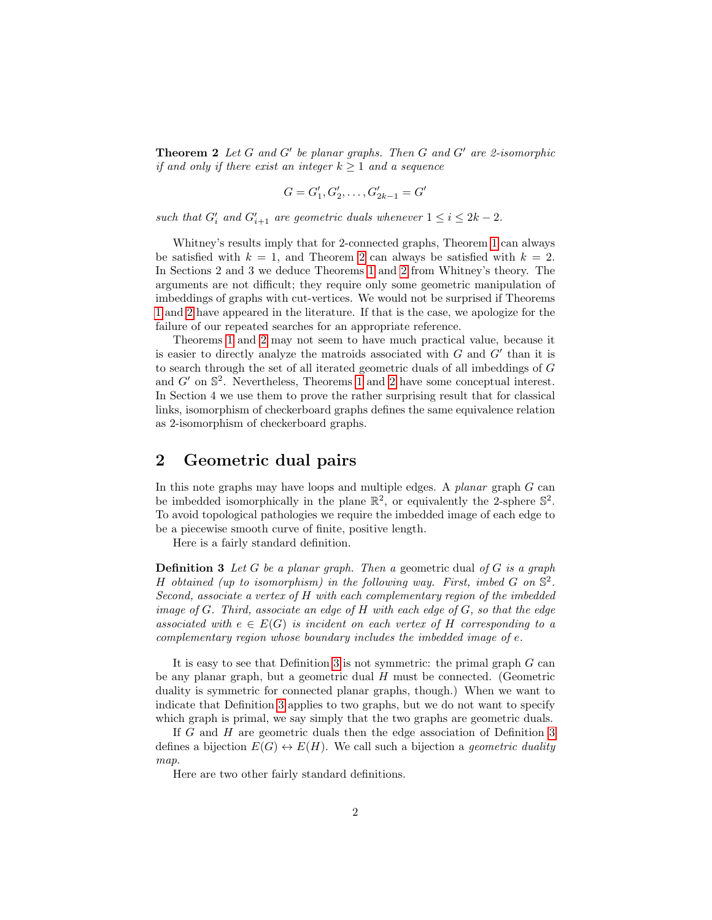**Theorem 2** Let  $G$  and  $G'$  be planar graphs. Then  $G$  and  $G'$  are 2-isomorphic if and only if there exist an integer  $k \geq 1$  and a sequence

$$
G = G'_1, G'_2, \dots, G'_{2k-1} = G
$$

 $\overline{a}$ 

such that  $G'_i$  and  $G'_{i+1}$  are geometric duals whenever  $1 \leq i \leq 2k - 2$ .

Whitney's results imply that for 2-connected graphs, Theorem [1](#page-0-0) can always be satisfied with  $k = 1$ , and Theorem [2](#page-0-1) can always be satisfied with  $k = 2$ . In Sections 2 and 3 we deduce Theorems [1](#page-0-0) and [2](#page-0-1) from Whitney's theory. The arguments are not difficult; they require only some geometric manipulation of imbeddings of graphs with cut-vertices. We would not be surprised if Theorems [1](#page-0-0) and [2](#page-0-1) have appeared in the literature. If that is the case, we apologize for the failure of our repeated searches for an appropriate reference.

Theorems [1](#page-0-0) and [2](#page-0-1) may not seem to have much practical value, because it is easier to directly analyze the matroids associated with  $G$  and  $G'$  than it is to search through the set of all iterated geometric duals of all imbeddings of G and  $G'$  on  $\mathbb{S}^2$ . Nevertheless, Theorems [1](#page-0-0) and [2](#page-0-1) have some conceptual interest. In Section 4 we use them to prove the rather surprising result that for classical links, isomorphism of checkerboard graphs defines the same equivalence relation as 2-isomorphism of checkerboard graphs.

# 2 Geometric dual pairs

In this note graphs may have loops and multiple edges. A planar graph  $G$  can be imbedded isomorphically in the plane  $\mathbb{R}^2$ , or equivalently the 2-sphere  $\mathbb{S}^2$ . To avoid topological pathologies we require the imbedded image of each edge to be a piecewise smooth curve of finite, positive length.

Here is a fairly standard definition.

<span id="page-1-0"></span>**Definition 3** Let G be a planar graph. Then a geometric dual of G is a graph H obtained (up to isomorphism) in the following way. First, imbed  $G$  on  $\mathbb{S}^2$ . Second, associate a vertex of H with each complementary region of the imbedded image of  $G$ . Third, associate an edge of  $H$  with each edge of  $G$ , so that the edge associated with  $e \in E(G)$  is incident on each vertex of H corresponding to a complementary region whose boundary includes the imbedded image of e.

It is easy to see that Definition [3](#page-1-0) is not symmetric: the primal graph  $G$  can be any planar graph, but a geometric dual  $H$  must be connected. (Geometric duality is symmetric for connected planar graphs, though.) When we want to indicate that Definition [3](#page-1-0) applies to two graphs, but we do not want to specify which graph is primal, we say simply that the two graphs are geometric duals.

If G and H are geometric duals then the edge association of Definition [3](#page-1-0) defines a bijection  $E(G) \leftrightarrow E(H)$ . We call such a bijection a *geometric duality* map.

Here are two other fairly standard definitions.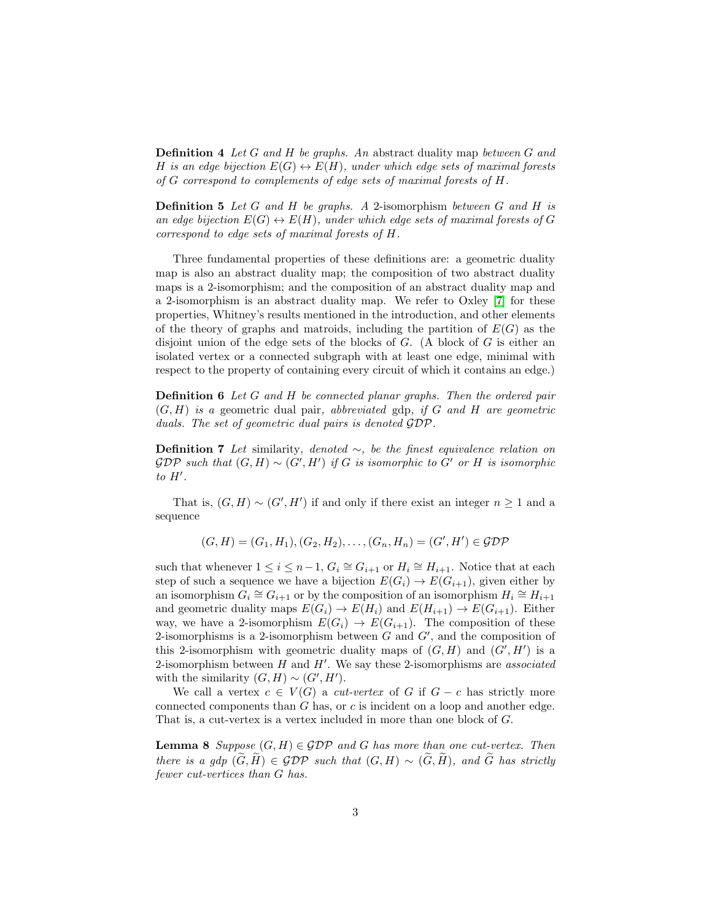**Definition 4** Let G and H be graphs. An abstract duality map between G and H is an edge bijection  $E(G) \leftrightarrow E(H)$ , under which edge sets of maximal forests of G correspond to complements of edge sets of maximal forests of H.

**Definition 5** Let G and H be graphs. A 2-isomorphism between G and H is an edge bijection  $E(G) \leftrightarrow E(H)$ , under which edge sets of maximal forests of G correspond to edge sets of maximal forests of H.

Three fundamental properties of these definitions are: a geometric duality map is also an abstract duality map; the composition of two abstract duality maps is a 2-isomorphism; and the composition of an abstract duality map and a 2-isomorphism is an abstract duality map. We refer to Oxley [\[7\]](#page-9-1) for these properties, Whitney's results mentioned in the introduction, and other elements of the theory of graphs and matroids, including the partition of  $E(G)$  as the disjoint union of the edge sets of the blocks of  $G$ . (A block of  $G$  is either an isolated vertex or a connected subgraph with at least one edge, minimal with respect to the property of containing every circuit of which it contains an edge.)

**Definition 6** Let G and H be connected planar graphs. Then the ordered pair  $(G, H)$  is a geometric dual pair, abbreviated gdp, if G and H are geometric duals. The set of geometric dual pairs is denoted GDP.

**Definition 7** Let similarity, denoted  $\sim$ , be the finest equivalence relation on  $GDP$  such that  $(G,H) \sim (G',H')$  if G is isomorphic to G' or H is isomorphic to  $H'$ .

That is,  $(G, H) \sim (G', H')$  if and only if there exist an integer  $n \geq 1$  and a sequence

$$
(G, H) = (G_1, H_1), (G_2, H_2), \dots, (G_n, H_n) = (G', H') \in \mathcal{GDP}
$$

such that whenever  $1 \leq i \leq n-1$ ,  $G_i \cong G_{i+1}$  or  $H_i \cong H_{i+1}$ . Notice that at each step of such a sequence we have a bijection  $E(G_i) \to E(G_{i+1})$ , given either by an isomorphism  $G_i \cong G_{i+1}$  or by the composition of an isomorphism  $H_i \cong H_{i+1}$ and geometric duality maps  $E(G_i) \to E(H_i)$  and  $E(H_{i+1}) \to E(G_{i+1})$ . Either way, we have a 2-isomorphism  $E(G_i) \to E(G_{i+1})$ . The composition of these 2-isomorphisms is a 2-isomorphism between  $G$  and  $G'$ , and the composition of this 2-isomorphism with geometric duality maps of  $(G, H)$  and  $(G', H')$  is a 2-isomorphism between  $H$  and  $H'$ . We say these 2-isomorphisms are *associated* with the similarity  $(G, H) \sim (G', H')$ .

We call a vertex  $c \in V(G)$  a *cut-vertex* of G if  $G - c$  has strictly more connected components than G has, or c is incident on a loop and another edge. That is, a cut-vertex is a vertex included in more than one block of G.

<span id="page-2-0"></span>**Lemma 8** Suppose  $(G, H) \in GDP$  and G has more than one cut-vertex. Then there is a gdp  $(\widetilde{G}, \widetilde{H}) \in \mathcal{GDP}$  such that  $(G, H) \sim (\widetilde{G}, \widetilde{H})$ , and  $\widetilde{G}$  has strictly fewer cut-vertices than G has.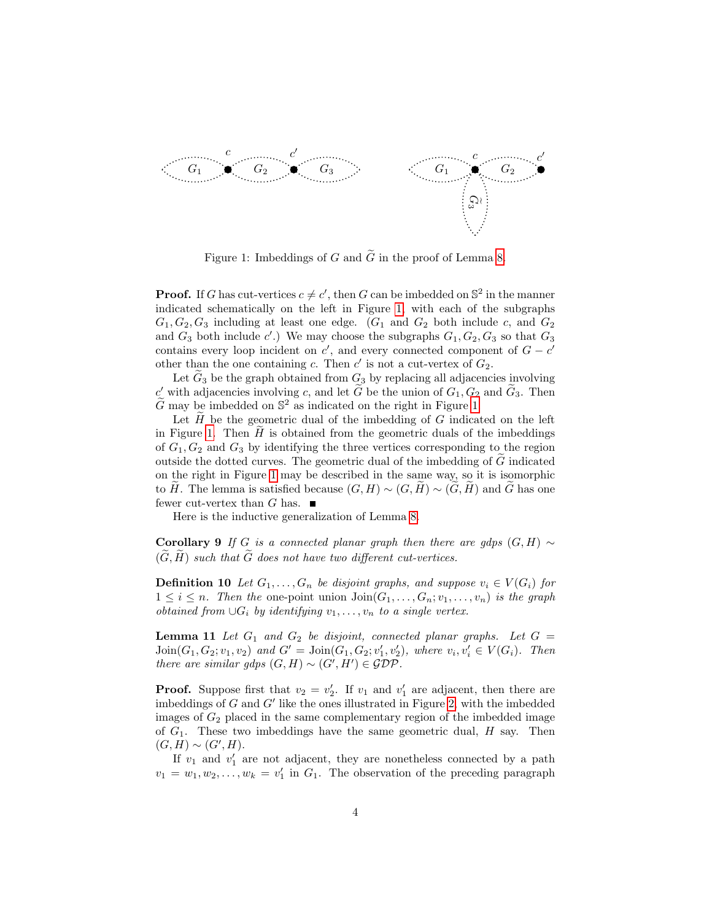

<span id="page-3-0"></span>Figure 1: Imbeddings of G and  $\tilde{G}$  in the proof of Lemma [8.](#page-2-0)

**Proof.** If G has cut-vertices  $c \neq c'$ , then G can be imbedded on  $\mathbb{S}^2$  in the manner indicated schematically on the left in Figure [1,](#page-3-0) with each of the subgraphs  $G_1, G_2, G_3$  including at least one edge.  $(G_1 \text{ and } G_2 \text{ both include } c, \text{ and } G_2$ and  $G_3$  both include c'.) We may choose the subgraphs  $G_1, G_2, G_3$  so that  $G_3$ contains every loop incident on  $c'$ , and every connected component of  $G - c'$ other than the one containing c. Then  $c'$  is not a cut-vertex of  $G_2$ .

Let  $\tilde{G}_3$  be the graph obtained from  $G_3$  by replacing all adjacencies involving c' with adjacencies involving c, and let  $\tilde{G}$  be the union of  $G_1, G_2$  and  $\tilde{G}_3$ . Then  $\widetilde{G}$  may be imbedded on  $\mathbb{S}^2$  as indicated on the right in Figure [1.](#page-3-0)

Let  $H$  be the geometric dual of the imbedding of  $G$  indicated on the left in Figure [1.](#page-3-0) Then  $\hat{H}$  is obtained from the geometric duals of the imbeddings of  $G_1, G_2$  and  $G_3$  by identifying the three vertices corresponding to the region outside the dotted curves. The geometric dual of the imbedding of  $\tilde{G}$  indicated on the right in Figure [1](#page-3-0) may be described in the same way, so it is isomorphic to H. The lemma is satisfied because  $(G, H) \sim (G, H) \sim (G, H)$  and G has one fewer cut-vertex than  $G$  has.

Here is the inductive generalization of Lemma [8.](#page-2-0)

<span id="page-3-2"></span>Corollary 9 If G is a connected planar graph then there are gdps  $(G, H) \sim$  $(\widetilde{G}, \widetilde{H})$  such that  $\widetilde{G}$  does not have two different cut-vertices.

**Definition 10** Let  $G_1, \ldots, G_n$  be disjoint graphs, and suppose  $v_i \in V(G_i)$  for  $1 \leq i \leq n$ . Then the one-point union  $\text{Join}(G_1, \ldots, G_n; v_1, \ldots, v_n)$  is the graph *obtained from* ∪ $G_i$  *by identifying*  $v_1, \ldots, v_n$  *to a single vertex.* 

<span id="page-3-1"></span>**Lemma 11** Let  $G_1$  and  $G_2$  be disjoint, connected planar graphs. Let  $G =$  $\text{Join}(G_1, G_2; v_1, v_2)$  and  $G' = \text{Join}(G_1, G_2; v'_1, v'_2)$ , where  $v_i, v'_i \in V(G_i)$ . Then there are similar gdps  $(G, H) \sim (G', H') \in \mathcal{GDP}$ .

**Proof.** Suppose first that  $v_2 = v_2'$ . If  $v_1$  and  $v_1'$  are adjacent, then there are imbeddings of  $G$  and  $G'$  like the ones illustrated in Figure [2,](#page-4-0) with the imbedded images of  $G_2$  placed in the same complementary region of the imbedded image of  $G_1$ . These two imbeddings have the same geometric dual,  $H$  say. Then  $(G, H) \sim (G', H).$ 

If  $v_1$  and  $v'_1$  are not adjacent, they are nonetheless connected by a path  $v_1 = w_1, w_2, \dots, w_k = v'_1$  in  $G_1$ . The observation of the preceding paragraph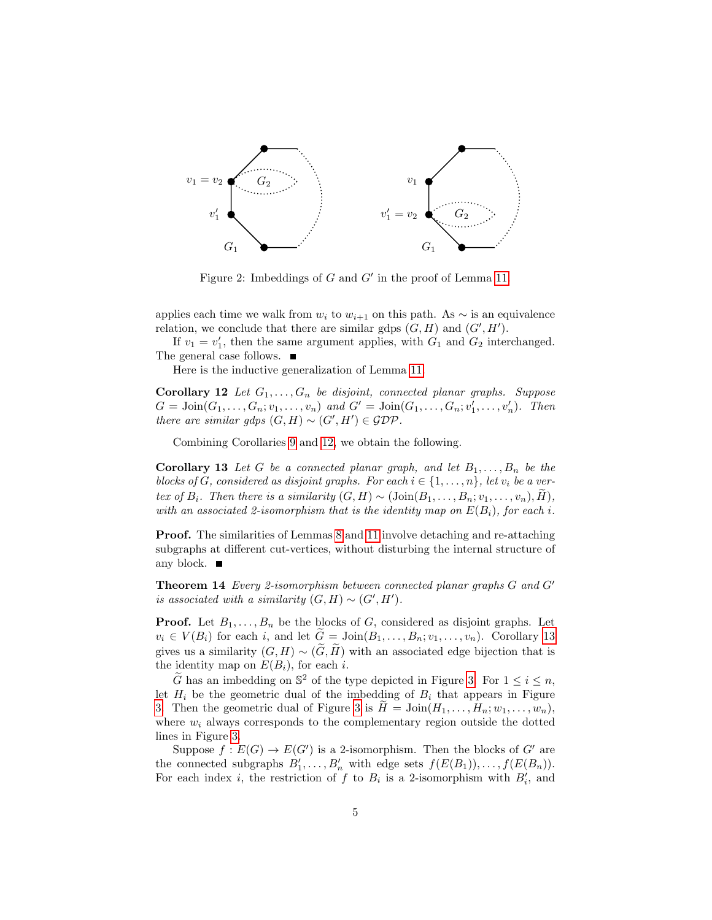

<span id="page-4-1"></span><span id="page-4-0"></span>Figure 2: Imbeddings of  $G$  and  $G'$  in the proof of Lemma [11.](#page-3-1)

applies each time we walk from  $w_i$  to  $w_{i+1}$  on this path. As  $\sim$  is an equivalence relation, we conclude that there are similar gdps  $(G, H)$  and  $(G', H')$ .

If  $v_1 = v'_1$ , then the same argument applies, with  $G_1$  and  $G_2$  interchanged. The general case follows. ■

Here is the inductive generalization of Lemma [11.](#page-3-1)

**Corollary 12** Let  $G_1, \ldots, G_n$  be disjoint, connected planar graphs. Suppose  $G = \text{Join}(G_1, ..., G_n; v_1, ..., v_n)$  and  $G' = \text{Join}(G_1, ..., G_n; v'_1, ..., v'_n)$ . Then there are similar gdps  $(G, H) \sim (G', H') \in \mathcal{GDP}$ .

Combining Corollaries [9](#page-3-2) and [12,](#page-4-1) we obtain the following.

<span id="page-4-2"></span>**Corollary 13** Let G be a connected planar graph, and let  $B_1, \ldots, B_n$  be the blocks of G, considered as disjoint graphs. For each  $i \in \{1, \ldots, n\}$ , let  $v_i$  be a vertex of  $B_i$ . Then there is a similarity  $(G, H) \sim (\text{Join}(B_1, \ldots, B_n; v_1, \ldots, v_n), H)$ , with an associated 2-isomorphism that is the identity map on  $E(B_i)$ , for each i.

<span id="page-4-3"></span>Proof. The similarities of Lemmas [8](#page-2-0) and [11](#page-3-1) involve detaching and re-attaching subgraphs at different cut-vertices, without disturbing the internal structure of any block.  $\blacksquare$ 

**Theorem 14** Every 2-isomorphism between connected planar graphs  $G$  and  $G'$ is associated with a similarity  $(G, H) \sim (G', H')$ .

**Proof.** Let  $B_1, \ldots, B_n$  be the blocks of G, considered as disjoint graphs. Let  $v_i \in V(B_i)$  for each i, and let  $\tilde{G} = \text{Join}(B_1, \ldots, B_n; v_1, \ldots, v_n)$ . Corollary [13](#page-4-2) gives us a similarity  $(G, H) \sim (\widetilde{G}, \widetilde{H})$  with an associated edge bijection that is the identity map on  $E(B_i)$ , for each i.

 $\widetilde{G}$  has an imbedding on  $\mathbb{S}^2$  of the type depicted in Figure [3.](#page-5-0) For  $1 \leq i \leq n$ , let  $H_i$  be the geometric dual of the imbedding of  $B_i$  that appears in Figure [3.](#page-5-0) Then the geometric dual of Figure [3](#page-5-0) is  $H = \text{Join}(H_1, \ldots, H_n; w_1, \ldots, w_n)$ , where  $w_i$  always corresponds to the complementary region outside the dotted lines in Figure [3.](#page-5-0)

Suppose  $f : E(G) \to E(G')$  is a 2-isomorphism. Then the blocks of G' are the connected subgraphs  $B'_1, \ldots, B'_n$  with edge sets  $f(E(B_1)), \ldots, f(E(B_n)).$ For each index *i*, the restriction of f to  $B_i$  is a 2-isomorphism with  $B'_i$ , and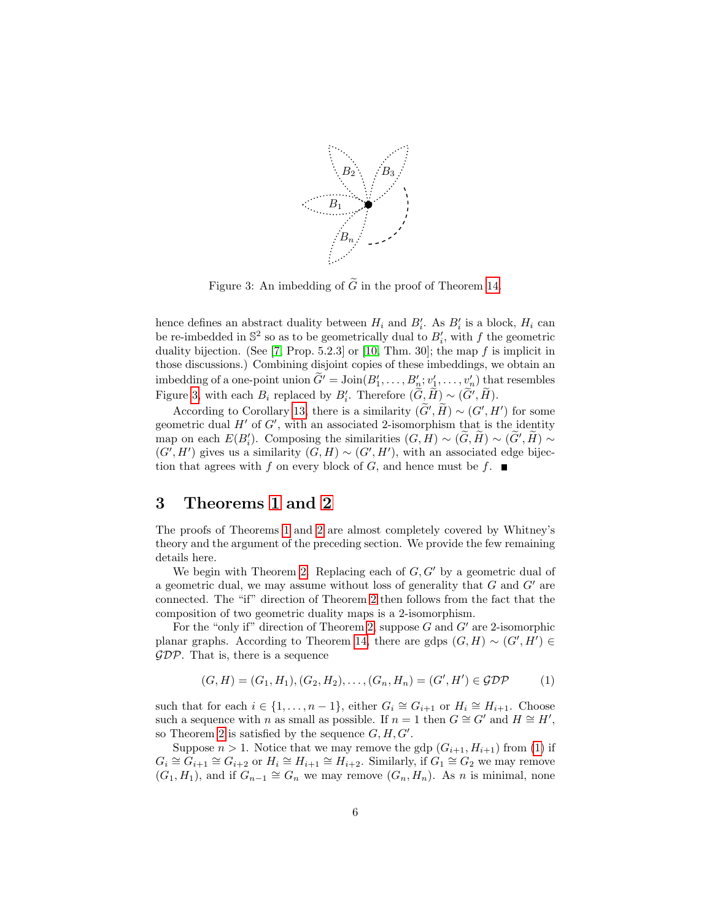

<span id="page-5-0"></span>Figure 3: An imbedding of  $\widetilde{G}$  in the proof of Theorem [14.](#page-4-3)

hence defines an abstract duality between  $H_i$  and  $B'_i$ . As  $B'_i$  is a block,  $H_i$  can be re-imbedded in  $\mathbb{S}^2$  so as to be geometrically dual to  $B_i'$ , with f the geometric duality bijection. (See  $[7, Prop. 5.2.3]$  $[7, Prop. 5.2.3]$  or  $[10, Thm. 30]$  $[10, Thm. 30]$ ; the map  $f$  is implicit in those discussions.) Combining disjoint copies of these imbeddings, we obtain an imbedding of a one-point union  $\widetilde{G}^{\prime} = \text{Join}(B_1^{\prime}, \ldots, B_n^{\prime}; v_1^{\prime}, \ldots, v_n^{\prime})$  that resembles Figure [3,](#page-5-0) with each  $B_i$  replaced by  $B'_i$ . Therefore  $(\widetilde{G}, \widetilde{H}) \sim (\widetilde{G}', \widetilde{H})$ .

According to Corollary [13,](#page-4-2) there is a similarity  $(\tilde{G}', \tilde{H}) \sim (G', H')$  for some geometric dual  $H'$  of  $G'$ , with an associated 2-isomorphism that is the identity map on each  $E(B_i')$ . Composing the similarities  $(G, H) \sim (\tilde{G}, \tilde{H}) \sim (\tilde{G}', \tilde{H}) \sim$  $(G', H')$  gives us a similarity  $(G, H) \sim (G', H')$ , with an associated edge bijection that agrees with f on every block of G, and hence must be f.  $\blacksquare$ 

## 3 Theorems [1](#page-0-0) and [2](#page-0-1)

The proofs of Theorems [1](#page-0-0) and [2](#page-0-1) are almost completely covered by Whitney's theory and the argument of the preceding section. We provide the few remaining details here.

We begin with Theorem [2.](#page-0-1) Replacing each of  $G, G'$  by a geometric dual of a geometric dual, we may assume without loss of generality that  $G$  and  $G'$  are connected. The "if" direction of Theorem [2](#page-0-1) then follows from the fact that the composition of two geometric duality maps is a 2-isomorphism.

For the "only if" direction of Theorem [2,](#page-0-1) suppose  $G$  and  $G'$  are 2-isomorphic planar graphs. According to Theorem [14,](#page-4-3) there are gdps  $(G, H) \sim (G', H') \in$  $GDP$ . That is, there is a sequence

<span id="page-5-1"></span>
$$
(G, H) = (G_1, H_1), (G_2, H_2), \dots, (G_n, H_n) = (G', H') \in \mathcal{GDP}
$$
 (1)

such that for each  $i \in \{1, ..., n-1\}$ , either  $G_i \cong G_{i+1}$  or  $H_i \cong H_{i+1}$ . Choose such a sequence with n as small as possible. If  $n = 1$  then  $G \cong G'$  and  $H \cong H'$ , so Theorem [2](#page-0-1) is satisfied by the sequence  $G, H, G'$ .

Suppose  $n > 1$ . Notice that we may remove the gdp  $(G_{i+1}, H_{i+1})$  from [\(1\)](#page-5-1) if  $G_i \cong G_{i+1} \cong G_{i+2}$  or  $H_i \cong H_{i+1} \cong H_{i+2}$ . Similarly, if  $G_1 \cong G_2$  we may remove  $(G_1, H_1)$ , and if  $G_{n-1} \cong G_n$  we may remove  $(G_n, H_n)$ . As n is minimal, none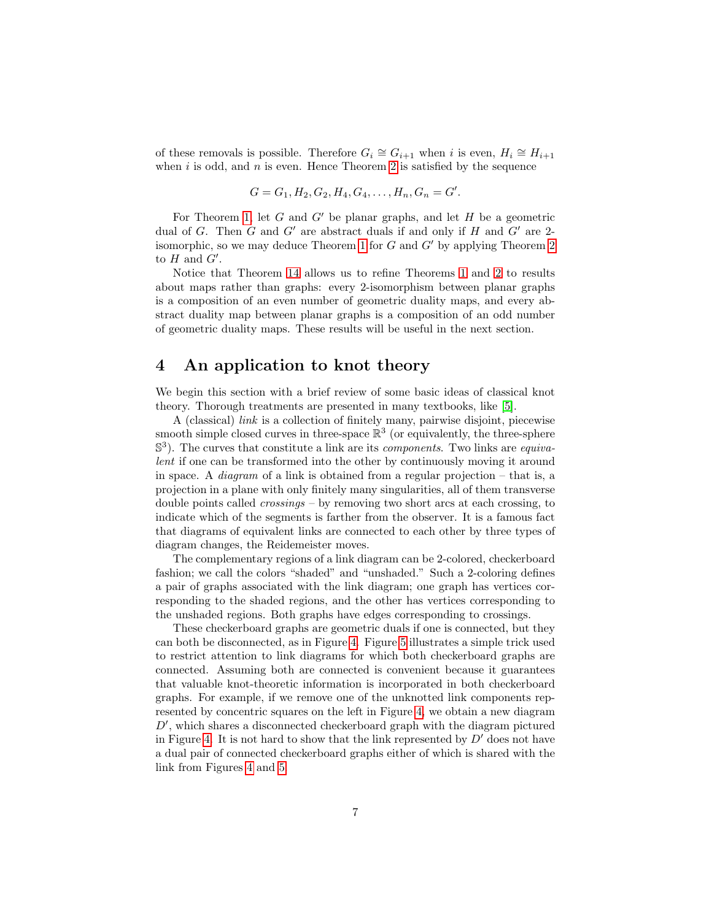of these removals is possible. Therefore  $G_i \cong G_{i+1}$  when i is even,  $H_i \cong H_{i+1}$ when  $i$  is odd, and  $n$  is even. Hence Theorem [2](#page-0-1) is satisfied by the sequence

$$
G = G_1, H_2, G_2, H_4, G_4, \dots, H_n, G_n = G'.
$$

For Theorem [1,](#page-0-0) let  $G$  and  $G'$  be planar graphs, and let  $H$  be a geometric dual of G. Then G and G' are abstract duals if and only if H and G' are 2-isomorphic, so we may deduce Theorem [1](#page-0-0) for G and  $G'$  by applying Theorem [2](#page-0-1) to  $H$  and  $G'$ .

Notice that Theorem [14](#page-4-3) allows us to refine Theorems [1](#page-0-0) and [2](#page-0-1) to results about maps rather than graphs: every 2-isomorphism between planar graphs is a composition of an even number of geometric duality maps, and every abstract duality map between planar graphs is a composition of an odd number of geometric duality maps. These results will be useful in the next section.

### 4 An application to knot theory

We begin this section with a brief review of some basic ideas of classical knot theory. Thorough treatments are presented in many textbooks, like [\[5\]](#page-9-2).

A (classical) link is a collection of finitely many, pairwise disjoint, piecewise smooth simple closed curves in three-space  $\mathbb{R}^3$  (or equivalently, the three-sphere  $\mathbb{S}^3$ ). The curves that constitute a link are its *components*. Two links are *equiva*lent if one can be transformed into the other by continuously moving it around in space. A *diagram* of a link is obtained from a regular projection – that is, a projection in a plane with only finitely many singularities, all of them transverse double points called crossings – by removing two short arcs at each crossing, to indicate which of the segments is farther from the observer. It is a famous fact that diagrams of equivalent links are connected to each other by three types of diagram changes, the Reidemeister moves.

The complementary regions of a link diagram can be 2-colored, checkerboard fashion; we call the colors "shaded" and "unshaded." Such a 2-coloring defines a pair of graphs associated with the link diagram; one graph has vertices corresponding to the shaded regions, and the other has vertices corresponding to the unshaded regions. Both graphs have edges corresponding to crossings.

These checkerboard graphs are geometric duals if one is connected, but they can both be disconnected, as in Figure [4.](#page-7-0) Figure [5](#page-7-1) illustrates a simple trick used to restrict attention to link diagrams for which both checkerboard graphs are connected. Assuming both are connected is convenient because it guarantees that valuable knot-theoretic information is incorporated in both checkerboard graphs. For example, if we remove one of the unknotted link components represented by concentric squares on the left in Figure [4,](#page-7-0) we obtain a new diagram  $D'$ , which shares a disconnected checkerboard graph with the diagram pictured in Figure [4.](#page-7-0) It is not hard to show that the link represented by  $D'$  does not have a dual pair of connected checkerboard graphs either of which is shared with the link from Figures [4](#page-7-0) and [5.](#page-7-1)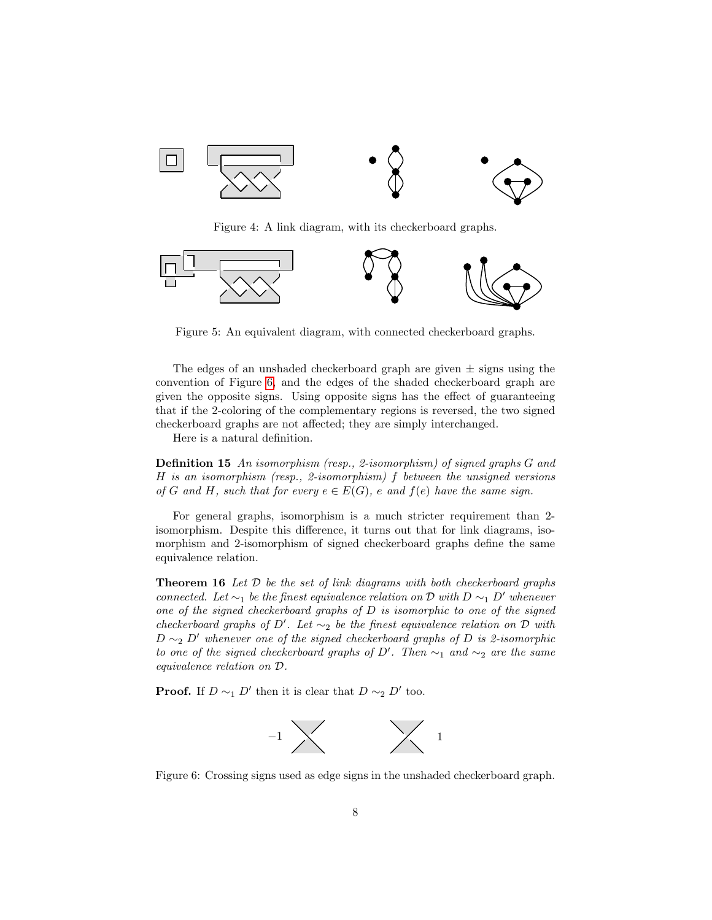

<span id="page-7-0"></span>Figure 4: A link diagram, with its checkerboard graphs.



<span id="page-7-1"></span>Figure 5: An equivalent diagram, with connected checkerboard graphs.

The edges of an unshaded checkerboard graph are given  $\pm$  signs using the convention of Figure [6,](#page-7-2) and the edges of the shaded checkerboard graph are given the opposite signs. Using opposite signs has the effect of guaranteeing that if the 2-coloring of the complementary regions is reversed, the two signed checkerboard graphs are not affected; they are simply interchanged.

Here is a natural definition.

Definition 15 An isomorphism (resp., 2-isomorphism) of signed graphs G and H is an isomorphism (resp., 2-isomorphism) f between the unsigned versions of G and H, such that for every  $e \in E(G)$ , e and  $f(e)$  have the same sign.

For general graphs, isomorphism is a much stricter requirement than 2 isomorphism. Despite this difference, it turns out that for link diagrams, isomorphism and 2-isomorphism of signed checkerboard graphs define the same equivalence relation.

<span id="page-7-3"></span>**Theorem 16** Let  $D$  be the set of link diagrams with both checkerboard graphs connected. Let  $\sim_1$  be the finest equivalence relation on D with D  $\sim_1$  D' whenever one of the signed checkerboard graphs of  $D$  is isomorphic to one of the signed checkerboard graphs of D'. Let  $\sim_2$  be the finest equivalence relation on D with  $D \sim_2 D'$  whenever one of the signed checkerboard graphs of D is 2-isomorphic to one of the signed checkerboard graphs of  $D'$ . Then  $\sim_1$  and  $\sim_2$  are the same equivalence relation on D.

**Proof.** If  $D \sim_1 D'$  then it is clear that  $D \sim_2 D'$  too.



<span id="page-7-2"></span>Figure 6: Crossing signs used as edge signs in the unshaded checkerboard graph.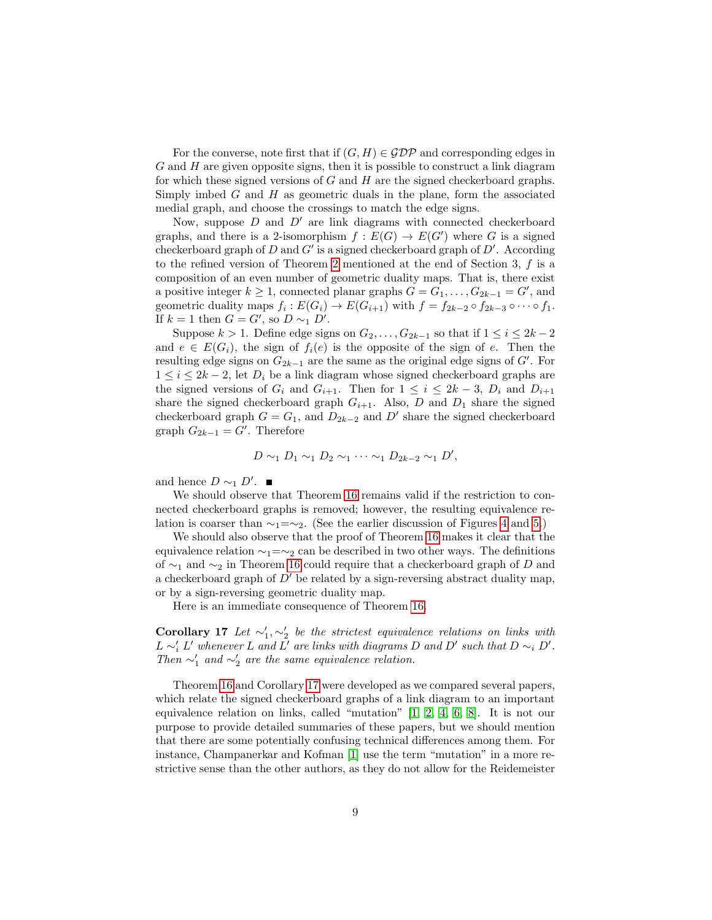For the converse, note first that if  $(G, H) \in \mathcal{GDP}$  and corresponding edges in  $G$  and  $H$  are given opposite signs, then it is possible to construct a link diagram for which these signed versions of  $G$  and  $H$  are the signed checkerboard graphs. Simply imbed  $G$  and  $H$  as geometric duals in the plane, form the associated medial graph, and choose the crossings to match the edge signs.

Now, suppose  $D$  and  $D'$  are link diagrams with connected checkerboard graphs, and there is a 2-isomorphism  $f : E(G) \to E(G')$  where G is a signed checkerboard graph of  $D$  and  $G'$  is a signed checkerboard graph of  $D'$ . According to the refined version of Theorem [2](#page-0-1) mentioned at the end of Section 3, f is a composition of an even number of geometric duality maps. That is, there exist a positive integer  $k \geq 1$ , connected planar graphs  $G = G_1, \ldots, G_{2k-1} = G'$ , and geometric duality maps  $f_i: E(G_i) \to E(G_{i+1})$  with  $f = f_{2k-2} \circ f_{2k-3} \circ \cdots \circ f_1$ . If  $k = 1$  then  $G = G'$ , so  $D \sim_1 D'$ .

Suppose  $k > 1$ . Define edge signs on  $G_2, \ldots, G_{2k-1}$  so that if  $1 \leq i \leq 2k-2$ and  $e \in E(G_i)$ , the sign of  $f_i(e)$  is the opposite of the sign of e. Then the resulting edge signs on  $G_{2k-1}$  are the same as the original edge signs of  $G'$ . For  $1 \leq i \leq 2k-2$ , let  $D_i$  be a link diagram whose signed checkerboard graphs are the signed versions of  $G_i$  and  $G_{i+1}$ . Then for  $1 \leq i \leq 2k-3$ ,  $D_i$  and  $D_{i+1}$ share the signed checkerboard graph  $G_{i+1}$ . Also, D and  $D_1$  share the signed checkerboard graph  $G = G_1$ , and  $D_{2k-2}$  and  $D'$  share the signed checkerboard graph  $G_{2k-1} = G'$ . Therefore

$$
D \sim_1 D_1 \sim_1 D_2 \sim_1 \cdots \sim_1 D_{2k-2} \sim_1 D',
$$

and hence  $D \sim_1 D'$ .

We should observe that Theorem [16](#page-7-3) remains valid if the restriction to connected checkerboard graphs is removed; however, the resulting equivalence relation is coarser than  $\sim_1=\sim_2$ . (See the earlier discussion of Figures [4](#page-7-0) and [5.](#page-7-1))

We should also observe that the proof of Theorem [16](#page-7-3) makes it clear that the equivalence relation  $\sim_1=\sim_2$  can be described in two other ways. The definitions of ∼<sup>1</sup> and ∼<sup>2</sup> in Theorem [16](#page-7-3) could require that a checkerboard graph of D and a checkerboard graph of  $D'$  be related by a sign-reversing abstract duality map, or by a sign-reversing geometric duality map.

Here is an immediate consequence of Theorem [16.](#page-7-3)

<span id="page-8-0"></span>Corollary 17 Let  $\sim'_1, \sim'_2$  be the strictest equivalence relations on links with  $L \sim'_{i} L'$  whenever L and L' are links with diagrams D and D' such that  $D \sim_{i} D'.$ Then  $\sim'_1$  and  $\sim'_2$  are the same equivalence relation.

Theorem [16](#page-7-3) and Corollary [17](#page-8-0) were developed as we compared several papers, which relate the signed checkerboard graphs of a link diagram to an important equivalence relation on links, called "mutation" [\[1,](#page-9-3) [2,](#page-9-4) [4,](#page-9-5) [6,](#page-9-6) [8\]](#page-9-7). It is not our purpose to provide detailed summaries of these papers, but we should mention that there are some potentially confusing technical differences among them. For instance, Champanerkar and Kofman [\[1\]](#page-9-3) use the term "mutation" in a more restrictive sense than the other authors, as they do not allow for the Reidemeister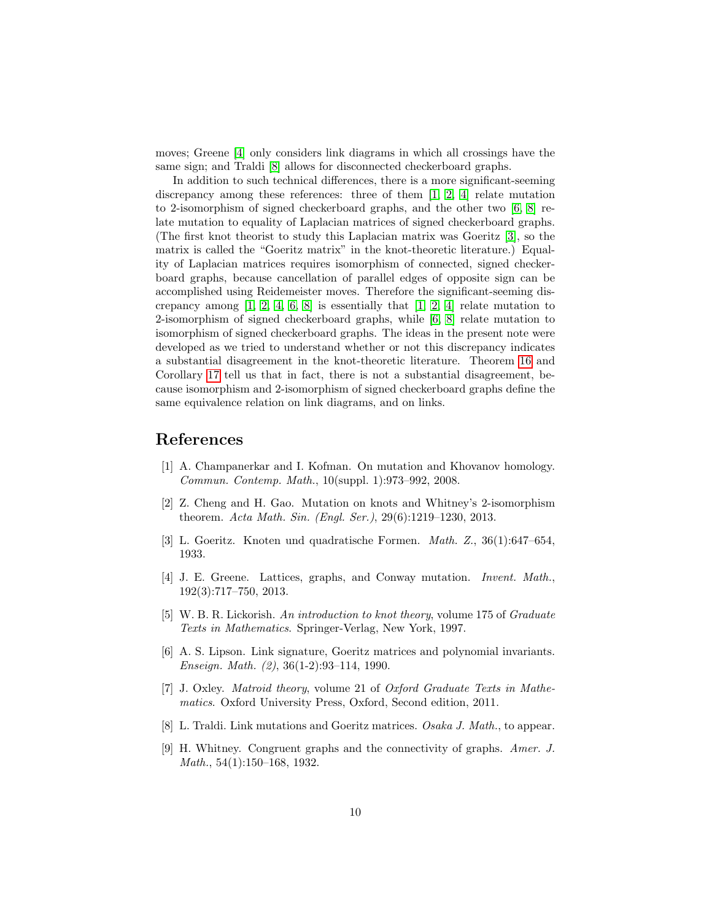moves; Greene [\[4\]](#page-9-5) only considers link diagrams in which all crossings have the same sign; and Traldi [\[8\]](#page-9-7) allows for disconnected checkerboard graphs.

In addition to such technical differences, there is a more significant-seeming discrepancy among these references: three of them [\[1,](#page-9-3) [2,](#page-9-4) [4\]](#page-9-5) relate mutation to 2-isomorphism of signed checkerboard graphs, and the other two [\[6,](#page-9-6) [8\]](#page-9-7) relate mutation to equality of Laplacian matrices of signed checkerboard graphs. (The first knot theorist to study this Laplacian matrix was Goeritz [\[3\]](#page-9-8), so the matrix is called the "Goeritz matrix" in the knot-theoretic literature.) Equality of Laplacian matrices requires isomorphism of connected, signed checkerboard graphs, because cancellation of parallel edges of opposite sign can be accomplished using Reidemeister moves. Therefore the significant-seeming discrepancy among  $[1, 2, 4, 6, 8]$  $[1, 2, 4, 6, 8]$  $[1, 2, 4, 6, 8]$  $[1, 2, 4, 6, 8]$  $[1, 2, 4, 6, 8]$  is essentially that  $[1, 2, 4]$  $[1, 2, 4]$  relate mutation to 2-isomorphism of signed checkerboard graphs, while [\[6,](#page-9-6) [8\]](#page-9-7) relate mutation to isomorphism of signed checkerboard graphs. The ideas in the present note were developed as we tried to understand whether or not this discrepancy indicates a substantial disagreement in the knot-theoretic literature. Theorem [16](#page-7-3) and Corollary [17](#page-8-0) tell us that in fact, there is not a substantial disagreement, because isomorphism and 2-isomorphism of signed checkerboard graphs define the same equivalence relation on link diagrams, and on links.

# References

- <span id="page-9-3"></span>[1] A. Champanerkar and I. Kofman. On mutation and Khovanov homology. Commun. Contemp. Math., 10(suppl. 1):973–992, 2008.
- <span id="page-9-4"></span>[2] Z. Cheng and H. Gao. Mutation on knots and Whitney's 2-isomorphism theorem. Acta Math. Sin. (Engl. Ser.), 29(6):1219–1230, 2013.
- <span id="page-9-8"></span>[3] L. Goeritz. Knoten und quadratische Formen. Math. Z., 36(1):647–654, 1933.
- <span id="page-9-5"></span>[4] J. E. Greene. Lattices, graphs, and Conway mutation. Invent. Math., 192(3):717–750, 2013.
- <span id="page-9-2"></span>[5] W. B. R. Lickorish. An introduction to knot theory, volume 175 of Graduate Texts in Mathematics. Springer-Verlag, New York, 1997.
- <span id="page-9-6"></span>[6] A. S. Lipson. Link signature, Goeritz matrices and polynomial invariants. Enseign. Math. (2), 36(1-2):93–114, 1990.
- <span id="page-9-1"></span>[7] J. Oxley. Matroid theory, volume 21 of Oxford Graduate Texts in Mathematics. Oxford University Press, Oxford, Second edition, 2011.
- <span id="page-9-7"></span>[8] L. Traldi. Link mutations and Goeritz matrices. Osaka J. Math., to appear.
- <span id="page-9-0"></span>[9] H. Whitney. Congruent graphs and the connectivity of graphs. Amer. J. Math., 54(1):150–168, 1932.